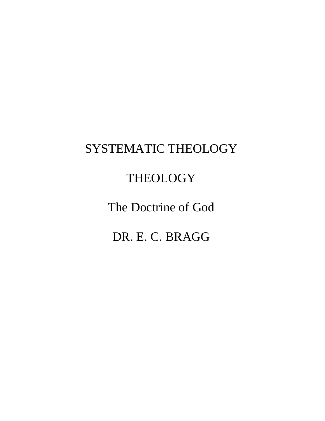# SYSTEMATIC THEOLOGY

# **THEOLOGY**

The Doctrine of God

DR. E. C. BRAGG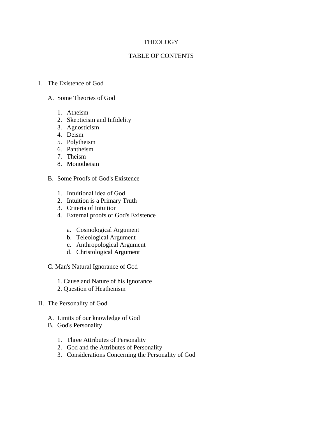# **THEOLOGY**

# TABLE OF CONTENTS

## I. The Existence of God

## A. Some Theories of God

- 1. Atheism
- 2. Skepticism and Infidelity
- 3. Agnosticism
- 4. Deism
- 5. Polytheism
- 6. Pantheism
- 7. Theism
- 8. Monotheism
- B. Some Proofs of God's Existence
	- 1. Intuitional idea of God
	- 2. Intuition is a Primary Truth
	- 3. Criteria of Intuition
	- 4. External proofs of God's Existence
		- a. Cosmological Argument
		- b. Teleological Argument
		- c. Anthropological Argument
		- d. Christological Argument
- C. Man's Natural Ignorance of God
	- 1. Cause and Nature of his Ignorance
	- 2. Question of Heathenism
- II. The Personality of God
	- A. Limits of our knowledge of God
	- B. God's Personality
		- 1. Three Attributes of Personality
		- 2. God and the Attributes of Personality
		- 3. Considerations Concerning the Personality of God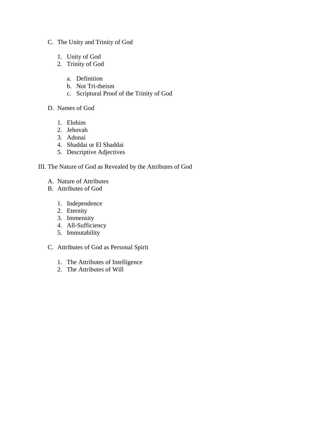- C. The Unity and Trinity of God
	- 1. Unity of God
	- 2. Trinity of God
		- a. Definition
		- b. Not Tri-theism
		- c. Scriptural Proof of the Trinity of God
- D. Names of God
	- 1. Elohim
	- 2. Jehovah
	- 3. Adonai
	- 4. Shaddai or El Shaddai
	- 5. Descriptive Adjectives

# III. The Nature of God as Revealed by the Attributes of God

- A. Nature of Attributes
- B. Attributes of God
	- 1. Independence
	- 2. Eternity
	- 3. Immensity
	- 4. All-Sufficiency
	- 5. Immutability
- C. Attributes of God as Personal Spirit
	- 1. The Attributes of Intelligence
	- 2. The Attributes of Will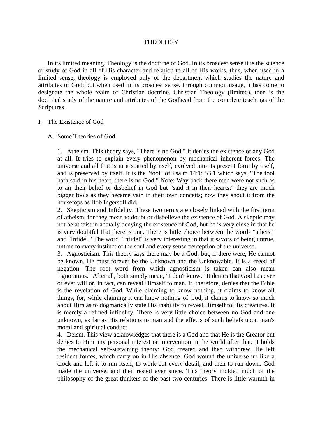## THEOLOGY

 In its limited meaning, Theology is the doctrine of God. In its broadest sense it is the science or study of God in all of His character and relation to all of His works, thus, when used in a limited sense, theology is employed only of the department which studies the nature and attributes of God; but when used in its broadest sense, through common usage, it has come to designate the whole realm of Christian doctrine, Christian Theology (limited), then is the doctrinal study of the nature and attributes of the Godhead from the complete teachings of the Scriptures.

### I. The Existence of God

### A. Some Theories of God

1. Atheism. This theory says, "There is no God." It denies the existence of any God at all. It tries to explain every phenomenon by mechanical inherent forces. The universe and all that is in it started by itself, evolved into its present form by itself, and is preserved by itself. It is the "fool" of Psalm 14:1; 53:1 which says, "The fool hath said in his heart, there is no God." Note: Way back there men were not such as to air their belief or disbelief in God but "said it in their hearts;" they are much bigger fools as they became vain in their own conceits; now they shout it from the housetops as Bob Ingersoll did.

2. Skepticism and Infidelity. These two terms are closely linked with the first term of atheism, for they mean to doubt or disbelieve the existence of God. A skeptic may not be atheist in actually denying the existence of God, but he is very close in that he is very doubtful that there is one. There is little choice between the words "atheist" and "Infidel." The word "Infidel" is very interesting in that it savors of being untrue, untrue to every instinct of the soul and every sense perception of the universe.

3. Agnosticism. This theory says there may be a God; but, if there were, He cannot be known. He must forever be the Unknown and the Unknowable. It is a creed of negation. The root word from which agnosticism is taken can also mean "ignoramus." After all, both simply mean, "I don't know." It denies that God has ever or ever will or, in fact, can reveal Himself to man. It, therefore, denies that the Bible is the revelation of God. While claiming to know nothing, it claims to know all things, for, while claiming it can know nothing of God, it claims to know so much about Him as to dogmatically state His inability to reveal Himself to His creatures. It is merely a refined infidelity. There is very little choice between no God and one unknown, as far as His relations to man and the effects of such beliefs upon man's moral and spiritual conduct.

4. Deism. This view acknowledges that there is a God and that He is the Creator but denies to Him any personal interest or intervention in the world after that. It holds the mechanical self-sustaining theory: God created and then withdrew. He left resident forces, which carry on in His absence. God wound the universe up like a clock and left it to run itself, to work out every detail, and then to run down. God made the universe, and then rested ever since. This theory molded much of the philosophy of the great thinkers of the past two centuries. There is little warmth in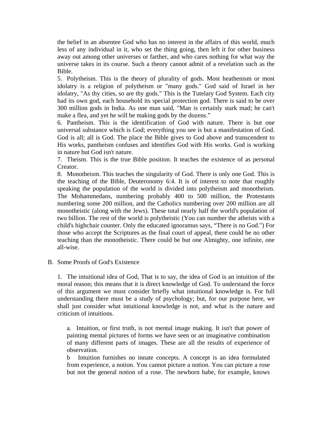the belief in an absentee God who has no interest in the affairs of this world, much less of any individual in it, who set the thing going, then left it for other business away out among other universes or farther, and who cares nothing for what way the universe takes in its course. Such a theory cannot admit of a revelation such as the Bible.

5. Polytheism. This is the theory of plurality of gods. Most heathenism or most idolatry is a religion of polytheism or "many gods." God said of Israel in her idolatry, "As thy cities, so are thy gods." This is the Tutelary God System. Each city had its own god, each household its special protection god. There is said to be over 300 million gods in India. As one man said, "Man is certainly stark mad; he can't make a flea, and yet he will be making gods by the dozens."

6. Pantheism. This is the identification of God with nature. There is but one universal substance which is God; everything you see is but a manifestation of God. God is all; all is God. The place the Bible gives to God above and transcendent to His works, pantheism confuses and identifies God with His works. God is working in nature but God isn't nature.

7. Theism. This is the true Bible position. It teaches the existence of as personal Creator.

8. Monotheism. This teaches the singularity of God. There is only one God. This is the teaching of the Bible, Deuteronomy 6:4. It is of interest to note that roughly speaking the population of the world is divided into polytheism and monotheism. The Mohammedans, numbering probably 400 to 500 million, the Protestants numbering some 200 million, and the Catholics numbering over 200 million are all monotheistic (along with the Jews). These total nearly half the world's population of two billion. The rest of the world is polytheistic (You can number the atheists with a child's highchair counter. Only the educated ignoramus says, "There is no God.") For those who accept the Scriptures as the final court of appeal, there could be no other teaching than the monotheistic. There could be but one Almighty, one infinite, one all-wise.

B. Some Proofs of God's Existence

1. The intuitional idea of God, That is to say, the idea of God is an intuition of the moral reason; this means that it is direct knowledge of God. To understand the force of this argument we must consider briefly what intuitional knowledge is. For full understanding there must be a study of psychology; but, for our purpose here, we shall just consider what intuitional knowledge is not, and what is the nature and criticism of intuitions.

a. Intuition, or first truth, is not mental image making. It isn't that power of painting mental pictures of forms we have seen or an imaginative combination of many different parts of images. These are all the results of experience of observation.

b Intuition furnishes no innate concepts. A concept is an idea formulated from experience, a notion. You cannot picture a notion. You can picture a rose but not the general notion of a rose. The newborn babe, for example, knows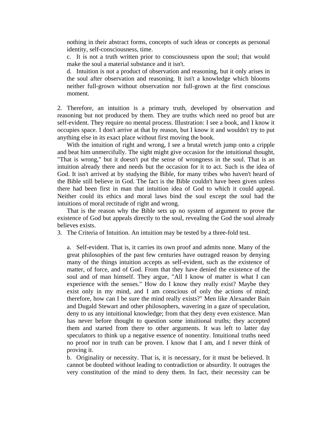nothing in their abstract forms, concepts of such ideas or concepts as personal identity, self-consciousness, time.

c. It is not a truth written prior to consciousness upon the soul; that would make the soul a material substance and it isn't.

d. Intuition is not a product of observation and reasoning, but it only arises in the soul after observation and reasoning. It isn't a knowledge which blooms neither full-grown without observation nor full-grown at the first conscious moment.

2. Therefore, an intuition is a primary truth, developed by observation and reasoning but not produced by them. They are truths which need no proof but are self-evident. They require no mental process. Illustration: I see a book, and I know it occupies space. I don't arrive at that by reason, but I know it and wouldn't try to put anything else in its exact place without first moving the book.

With the intuition of right and wrong, I see a brutal wretch jump onto a cripple and beat him unmercifully. The sight might give occasion for the intuitional thought, "That is wrong," but it doesn't put the sense of wrongness in the soul. That is an intuition already there and needs but the occasion for it to act. Such is the idea of God. It isn't arrived at by studying the Bible, for many tribes who haven't heard of the Bible still believe in God. The fact is the Bible couldn't have been given unless there had been first in man that intuition idea of God to which it could appeal. Neither could its ethics and moral laws bind the soul except the soul had the intuitions of moral rectitude of right and wrong.

 That is the reason why the Bible sets up no system of argument to prove the existence of God but appeals directly to the soul, revealing the God the soul already believes exists.

3. The Criteria of Intuition. An intuition may be tested by a three-fold test.

a. Self-evident. That is, it carries its own proof and admits none. Many of the great philosophies of the past few centuries have outraged reason by denying many of the things intuition accepts as self-evident, such as the existence of matter, of force, and of God. From that they have denied the existence of the soul and of man himself. They argue, "All I know of matter is what I can experience with the senses." How do I know they really exist? Maybe they exist only in my mind, and I am conscious of only the actions of mind; therefore, how can I be sure the mind really exists?" Men like Alexander Bain and Dugald Stewart and other philosophers, wavering in a gaze of speculation, deny to us any intuitional knowledge; from that they deny even existence. Man has never before thought to question some intuitional truths; they accepted them and started from there to other arguments. It was left to latter day speculators to think up a negative essence of nonentity. Intuitional truths need no proof nor in truth can be proven. I know that I am, and I never think of proving it.

b. Originality or necessity. That is, it is necessary, for it must be believed. It cannot be doubted without leading to contradiction or absurdity. It outrages the very constitution of the mind to deny them. In fact, their necessity can be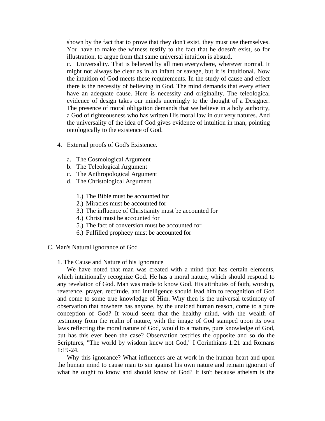shown by the fact that to prove that they don't exist, they must use themselves. You have to make the witness testify to the fact that he doesn't exist, so for illustration, to argue from that same universal intuition is absurd.

c. Universality. That is believed by all men everywhere, wherever normal. It might not always be clear as in an infant or savage, but it is intuitional. Now the intuition of God meets these requirements. In the study of cause and effect there is the necessity of believing in God. The mind demands that every effect have an adequate cause. Here is necessity and originality. The teleological evidence of design takes our minds unerringly to the thought of a Designer. The presence of moral obligation demands that we believe in a holy authority, a God of righteousness who has written His moral law in our very natures. And the universality of the idea of God gives evidence of intuition in man, pointing ontologically to the existence of God.

- 4. External proofs of God's Existence.
	- a. The Cosmological Argument
	- b. The Teleological Argument
	- c. The Anthropological Argument
	- d. The Christological Argument
		- 1.) The Bible must be accounted for
		- 2.) Miracles must be accounted for
		- 3.) The influence of Christianity must be accounted for
		- 4.) Christ must be accounted for
		- 5.) The fact of conversion must be accounted for
		- 6.) Fulfilled prophecy must be accounted for
- C. Man's Natural Ignorance of God

1. The Cause and Nature of his Ignorance

We have noted that man was created with a mind that has certain elements, which intuitionally recognize God. He has a moral nature, which should respond to any revelation of God. Man was made to know God. His attributes of faith, worship, reverence, prayer, rectitude, and intelligence should lead him to recognition of God and come to some true knowledge of Him. Why then is the universal testimony of observation that nowhere has anyone, by the unaided human reason, come to a pure conception of God? It would seem that the healthy mind, with the wealth of testimony from the realm of nature, with the image of God stamped upon its own laws reflecting the moral nature of God, would to a mature, pure knowledge of God, but has this ever been the case? Observation testifies the opposite and so do the Scriptures, "The world by wisdom knew not God," I Corinthians 1:21 and Romans 1:19-24.

 Why this ignorance? What influences are at work in the human heart and upon the human mind to cause man to sin against his own nature and remain ignorant of what he ought to know and should know of God? It isn't because atheism is the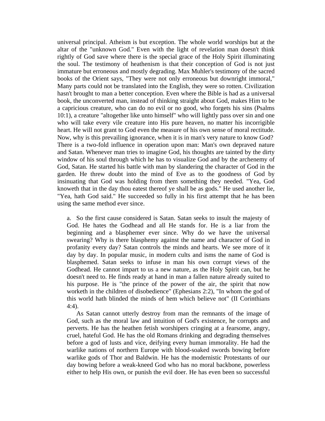universal principal. Atheism is but exception. The whole world worships but at the altar of the "unknown God." Even with the light of revelation man doesn't think rightly of God save where there is the special grace of the Holy Spirit illuminating the soul. The testimony of heathenism is that their conception of God is not just immature but erroneous and mostly degrading. Max Muhler's testimony of the sacred books of the Orient says, "They were not only erroneous but downright immoral," Many parts could not be translated into the English, they were so rotten. Civilization hasn't brought to man a better conception. Even where the Bible is had as a universal book, the unconverted man, instead of thinking straight about God, makes Him to be a capricious creature, who can do no evil or no good, who forgets his sins (Psalms 10:1), a creature "altogether like unto himself" who will lightly pass over sin and one who will take every vile creature into His pure heaven, no matter his incorrigible heart. He will not grant to God even the measure of his own sense of moral rectitude. Now, why is this prevailing ignorance, when it is in man's very nature to know God? There is a two-fold influence in operation upon man: Man's own depraved nature and Satan. Whenever man tries to imagine God, his thoughts are tainted by the dirty window of his soul through which he has to visualize God and by the archenemy of God, Satan. He started his battle with man by slandering the character of God in the garden. He threw doubt into the mind of Eve as to the goodness of God by insinuating that God was holding from them something they needed. "Yea, God knoweth that in the day thou eatest thereof ye shall be as gods." He used another lie, "Yea, hath God said." He succeeded so fully in his first attempt that he has been using the same method ever since.

a. So the first cause considered is Satan. Satan seeks to insult the majesty of God. He hates the Godhead and all He stands for. He is a liar from the beginning and a blasphemer ever since. Why do we have the universal swearing? Why is there blasphemy against the name and character of God in profanity every day? Satan controls the minds and hearts. We see more of it day by day. In popular music, in modern cults and isms the name of God is blasphemed. Satan seeks to infuse in man his own corrupt views of the Godhead. He cannot impart to us a new nature, as the Holy Spirit can, but he doesn't need to. He finds ready at hand in man a fallen nature already suited to his purpose. He is "the prince of the power of the air, the spirit that now worketh in the children of disobedience" (Ephesians 2:2), "In whom the god of this world hath blinded the minds of hem which believe not" (II Corinthians 4:4).

 As Satan cannot utterly destroy from man the remnants of the image of God, such as the moral law and intuition of God's existence, he corrupts and perverts. He has the heathen fetish worshipers cringing at a fearsome, angry, cruel, hateful God. He has the old Romans drinking and degrading themselves before a god of lusts and vice, deifying every human immorality. He had the warlike nations of northern Europe with blood-soaked swords bowing before warlike gods of Thor and Baldwin. He has the modernistic Protestants of our day bowing before a weak-kneed God who has no moral backbone, powerless either to help His own, or punish the evil doer. He has even been so successful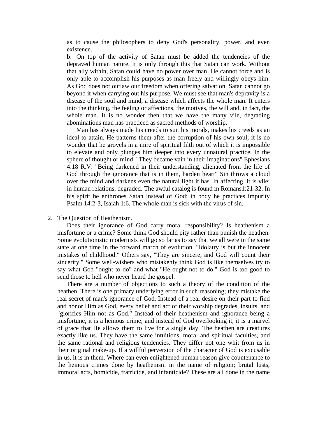as to cause the philosophers to deny God's personality, power, and even existence.

b. On top of the activity of Satan must be added the tendencies of the depraved human nature. It is only through this that Satan can work. Without that ally within, Satan could have no power over man. He cannot force and is only able to accomplish his purposes as man freely and willingly obeys him. As God does not outlaw our freedom when offering salvation, Satan cannot go beyond it when carrying out his purpose. We must see that man's depravity is a disease of the soul and mind, a disease which affects the whole man. It enters into the thinking, the feeling or affections, the motives, the will and, in fact, the whole man. It is no wonder then that we have the many vile, degrading abominations man has practiced as sacred methods of worship.

 Man has always made his creeds to suit his morals, makes his creeds as an ideal to attain. He patterns them after the corruption of his own soul; it is no wonder that he grovels in a mire of spiritual filth out of which it is impossible to elevate and only plunges him deeper into every unnatural practice. In the sphere of thought or mind, "They became vain in their imaginations" Ephesians 4:18 R.V. "Being darkened in their understanding, alienated from the life of God through the ignorance that is in them, harden heart" Sin throws a cloud over the mind and darkens even the natural light it has. In affecting, it is vile; in human relations, degraded. The awful catalog is found in Romans1:21-32. In his spirit he enthrones Satan instead of God; in body he practices impurity Psalm 14:2-3, Isaiah 1:6. The whole man is sick with the virus of sin.

#### 2. The Question of Heathenism.

 Does their ignorance of God carry moral responsibility? Is heathenism a misfortune or a crime? Some think God should pity rather than punish the heathen. Some evolutionistic modernists will go so far as to say that we all were in the same state at one time in the forward march of evolution. "Idolatry is but the innocent mistakes of childhood." Others say, "They are sincere, and God will count their sincerity." Some well-wishers who mistakenly think God is like themselves try to say what God "ought to do" and what "He ought not to do." God is too good to send those to hell who never heard the gospel.

 There are a number of objections to such a theory of the condition of the heathen. There is one primary underlying error in such reasoning; they mistake the real secret of man's ignorance of God. Instead of a real desire on their part to find and honor Him as God, every belief and act of their worship degrades, insults, and "glorifies Him not as God." Instead of their heathenism and ignorance being a misfortune, it is a heinous crime; and instead of God overlooking it, it is a marvel of grace that He allows them to live for a single day. The heathen are creatures exactly like us. They have the same intuitions, moral and spiritual faculties, and the same rational and religious tendencies. They differ not one whit from us in their original make-up. If a willful perversion of the character of God is excusable in us, it is in them. Where can even enlightened human reason give countenance to the heinous crimes done by heathenism in the name of religion; brutal lusts, immoral acts, homicide, fratricide, and infanticide? These are all done in the name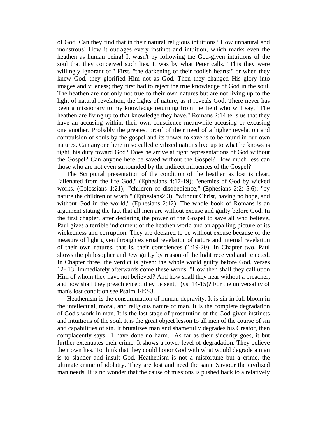of God. Can they find that in their natural religious intuitions? How unnatural and monstrous! How it outrages every instinct and intuition, which marks even the heathen as human being! It wasn't by following the God-given intuitions of the soul that they conceived such lies. It was by what Peter calls, "This they were willingly ignorant of." First, "the darkening of their foolish hearts;" or when they knew God, they glorified Him not as God. Then they changed His glory into images and vileness; they first had to reject the true knowledge of God in the soul. The heathen are not only not true to their own natures but are not living up to the light of natural revelation, the lights of nature, as it reveals God. There never has been a missionary to my knowledge returning from the field who will say, "The heathen are living up to that knowledge they have." Romans 2:14 tells us that they have an accusing within, their own conscience meanwhile accusing or excusing one another. Probably the greatest proof of their need of a higher revelation and compulsion of souls by the gospel and its power to save is to be found in our own natures. Can anyone here in so called civilized nations live up to what he knows is right, his duty toward God? Does he arrive at right representations of God without the Gospel? Can anyone here be saved without the Gospel? How much less can those who are not even surrounded by the indirect influences of the Gospel?

 The Scriptural presentation of the condition of the heathen as lost is clear, "alienated from the life God," (Ephesians 4:17-19); "enemies of God by wicked works. (Colossians 1:21); "'children of disobedience," (Ephesians 2:2; 5:6); "by nature the children of wrath," (Ephesians2:3); "without Christ, having no hope, and without God in the world," (Ephesians 2:12). The whole book of Romans is an argument stating the fact that all men are without excuse and guilty before God. In the first chapter, after declaring the power of the Gospel to save all who believe, Paul gives a terrible indictment of the heathen world and an appalling picture of its wickedness and corruption. They are declared to be without excuse because of the measure of light given through external revelation of nature and internal revelation of their own natures, that is, their consciences (1:19-20). In Chapter two, Paul shows the philosopher and Jew guilty by reason of the light received and rejected. In Chapter three, the verdict is given: the whole world guilty before God, verses 12- 13. Immediately afterwards come these words: "How then shall they call upon Him of whom they have not believed? And how shall they hear without a preacher, and how shall they preach except they be sent," (vs. 14-15)? For the universality of man's lost condition see Psalm 14:2-3.

 Heathenism is the consummation of human depravity. It is sin in full bloom in the intellectual, moral, and religious nature of man. It is the complete degradation of God's work in man. It is the last stage of prostitution of the God-given instincts and intuitions of the soul. It is the great object lesson to all men of the course of sin and capabilities of sin. It brutalizes man and shamefully degrades his Creator, then complacently says, "I have done no harm." As far as their sincerity goes, it but further extenuates their crime. It shows a lower level of degradation. They believe their own lies. To think that they could honor God with what would degrade a man is to slander and insult God. Heathenism is not a misfortune but a crime, the ultimate crime of idolatry. They are lost and need the same Saviour the civilized man needs. It is no wonder that the cause of missions is pushed back to a relatively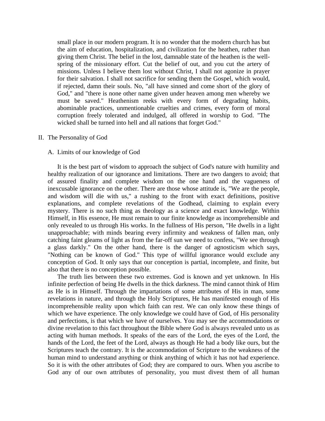small place in our modern program. It is no wonder that the modern church has but the aim of education, hospitalization, and civilization for the heathen, rather than giving them Christ. The belief in the lost, damnable state of the heathen is the wellspring of the missionary effort. Cut the belief of out, and you cut the artery of missions. Unless I believe them lost without Christ, I shall not agonize in prayer for their salvation. I shall not sacrifice for sending them the Gospel, which would, if rejected, damn their souls. No, "all have sinned and come short of the glory of God," and "there is none other name given under heaven among men whereby we must be saved." Heathenism reeks with every form of degrading habits, abominable practices, unmentionable cruelties and crimes, every form of moral corruption freely tolerated and indulged, all offered in worship to God. "The wicked shall be turned into hell and all nations that forget God."

#### II. The Personality of God

#### A. Limits of our knowledge of God

 It is the best part of wisdom to approach the subject of God's nature with humility and healthy realization of our ignorance and limitations. There are two dangers to avoid; that of assured finality and complete wisdom on the one hand and the vagueness of inexcusable ignorance on the other. There are those whose attitude is, "We are the people, and wisdom will die with us," a rushing to the front with exact definitions, positive explanations, and complete revelations of the Godhead, claiming to explain every mystery. There is no such thing as theology as a science and exact knowledge. Within Himself, in His essence, He must remain to our finite knowledge as incomprehensible and only revealed to us through His works. In the fullness of His person, "He dwells in a light unapproachable; with minds bearing every infirmity and weakness of fallen man, only catching faint gleams of light as from the far-off sun we need to confess, "We see through a glass darkly." On the other hand, there is the danger of agnosticism which says, "Nothing can be known of God." This type of willful ignorance would exclude any conception of God. It only says that our conception is partial, incomplete, and finite, but also that there is no conception possible.

 The truth lies between these two extremes. God is known and yet unknown. In His infinite perfection of being He dwells in the thick darkness. The mind cannot think of Him as He is in Himself. Through the impartations of some attributes of His in man, some revelations in nature, and through the Holy Scriptures, He has manifested enough of His incomprehensible reality upon which faith can rest. We can only know these things of which we have experience. The only knowledge we could have of God, of His personality and perfections, is that which we have of ourselves. You may see the accommodations or divine revelation to this fact throughout the Bible where God is always revealed unto us as acting with human methods. It speaks of the ears of the Lord, the eyes of the Lord, the hands of the Lord, the feet of the Lord, always as though He had a body like ours, but the Scriptures teach the contrary. It is the accommodation of Scripture to the weakness of the human mind to understand anything or think anything of which it has not had experience. So it is with the other attributes of God; they are compared to ours. When you ascribe to God any of our own attributes of personality, you must divest them of all human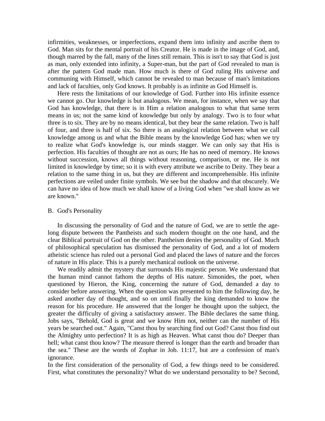infirmities, weaknesses, or imperfections, expand them into infinity and ascribe them to God. Man sits for the mental portrait of his Creator. He is made in the image of God, and, though marred by the fall, many of the lines still remain. This is isn't to say that God is just as man, only extended into infinity, a Super-man, but the part of God revealed to man is after the pattern God made man. How much is there of God ruling His universe and communing with Himself, which cannot be revealed to man because of man's limitations and lack of faculties, only God knows. It probably is as infinite as God Himself is.

 Here rests the limitations of our knowledge of God. Further into His infinite essence we cannot go. Our knowledge is but analogous. We mean, for instance, when we say that God has knowledge, that there is in Him a relation analogous to what that same term means in us; not the same kind of knowledge but only by analogy. Two is to four what three is to six. They are by no means identical, but they bear the same relation. Two is half of four, and three is half of six. So there is an analogical relation between what we call knowledge among us and what the Bible means by the knowledge God has; when we try to realize what God's knowledge is, our minds stagger. We can only say that His is perfection. His faculties of thought are not as ours; He has no need of memory. He knows without succession, knows all things without reasoning, comparison, or me. He is not limited in knowledge by time; so it is with every attribute we ascribe to Deity. They bear a relation to the same thing in us, but they are different and incomprehensible. His infinite perfections are veiled under finite symbols. We see but the shadow and that obscurely. We can have no idea of how much we shall know of a living God when "we shall know as we are known."

#### B. God's Personality

 In discussing the personality of God and the nature of God, we are to settle the agelong dispute between the Pantheists and such modern thought on the one hand, and the clear Biblical portrait of God on the other. Pantheism denies the personality of God. Much of philosophical speculation has dismissed the personality of God, and a lot of modern atheistic science has ruled out a personal God and placed the laws of nature and the forces of nature in His place. This is a purely mechanical outlook on the universe.

 We readily admit the mystery that surrounds His majestic person. We understand that the human mind cannot fathom the depths of His nature. Simonides, the poet, when questioned by Hieron, the King, concerning the nature of God, demanded a day to consider before answering. When the question was presented to him the following day, he asked another day of thought, and so on until finally the king demanded to know the reason for his procedure. He answered that the longer he thought upon the subject, the greater the difficulty of giving a satisfactory answer. The Bible declares the same thing. Jobs says, "Behold, God is great and we know Him not, neither can the number of His years be searched out." Again, "Canst thou by searching find out God? Canst thou find out the Almighty unto perfection? It is as high as Heaven. What canst thou do? Deeper than hell; what canst thou know? The measure thereof is longer than the earth and broader than the sea." These are the words of Zophar in Job. 11:17, but are a confession of man's ignorance.

In the first consideration of the personality of God, a few things need to be considered. First, what constitutes the personality? What do we understand personality to be? Second,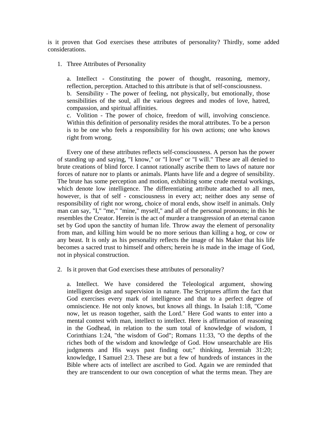is it proven that God exercises these attributes of personality? Thirdly, some added considerations.

1. Three Attributes of Personality

a. Intellect - Constituting the power of thought, reasoning, memory, reflection, perception. Attached to this attribute is that of self-consciousness. b. Sensibility - The power of feeling, not physically, but emotionally, those sensibilities of the soul, all the various degrees and modes of love, hatred, compassion, and spiritual affinities.

c. Volition - The power of choice, freedom of will, involving conscience. Within this definition of personality resides the moral attributes. To be a person is to be one who feels a responsibility for his own actions; one who knows right from wrong.

 Every one of these attributes reflects self-consciousness. A person has the power of standing up and saying, "I know," or "I love" or "I will." These are all denied to brute creations of blind force. I cannot rationally ascribe them to laws of nature nor forces of nature nor to plants or animals. Plants have life and a degree of sensibility. The brute has some perception and motion, exhibiting some crude mental workings, which denote low intelligence. The differentiating attribute attached to all men, however, is that of self - consciousness in every act; neither does any sense of responsibility of right nor wrong, choice of moral ends, show itself in animals. Only man can say, "I," "me," "mine," myself," and all of the personal pronouns; in this he resembles the Creator. Herein is the act of murder a transgression of an eternal canon set by God upon the sanctity of human life. Throw away the element of personality from man, and killing him would be no more serious than killing a hog, or cow or any beast. It is only as his personality reflects the image of his Maker that his life becomes a sacred trust to himself and others; herein he is made in the image of God, not in physical construction.

2. Is it proven that God exercises these attributes of personality?

a. Intellect. We have considered the Teleological argument, showing intelligent design and supervision in nature. The Scriptures affirm the fact that God exercises every mark of intelligence and that to a perfect degree of omniscience. He not only knows, but knows all things. In Isaiah 1:18, "Come now, let us reason together, saith the Lord." Here God wants to enter into a mental contest with man, intellect to intellect. Here is affirmation of reasoning in the Godhead, in relation to the sum total of knowledge of wisdom, I Corinthians 1:24, "the wisdom of God"; Romans 11:33, "O the depths of the riches both of the wisdom and knowledge of God. How unsearchable are His judgments and His ways past finding out;" thinking, Jeremiah 31:20; knowledge, I Samuel 2:3. These are but a few of hundreds of instances in the Bible where acts of intellect are ascribed to God. Again we are reminded that they are transcendent to our own conception of what the terms mean. They are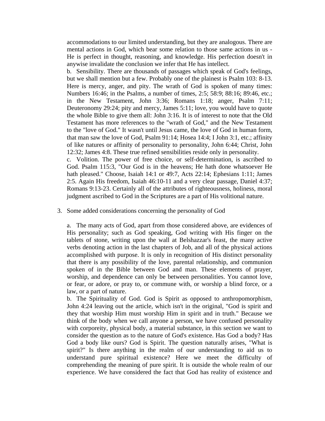accommodations to our limited understanding, but they are analogous. There are mental actions in God, which bear some relation to those same actions in us - He is perfect in thought, reasoning, and knowledge. His perfection doesn't in anywise invalidate the conclusion we infer that He has intellect.

b. Sensibility. There are thousands of passages which speak of God's feelings, but we shall mention but a few. Probably one of the plainest is Psalm 103: 8-13. Here is mercy, anger, and pity. The wrath of God is spoken of many times: Numbers 16:46; in the Psalms, a number of times, 2:5; 58:9; 88:16; 89:46, etc.; in the New Testament, John 3:36; Romans 1:18; anger, Psalm 7:11; Deuteronomy 29:24; pity and mercy, James 5:11; love, you would have to quote the whole Bible to give them all: John 3:16. It is of interest to note that the Old Testament has more references to the "wrath of God," and the New Testament to the "love of God." It wasn't until Jesus came, the love of God in human form, that man saw the love of God, Psalm 91:14; Hosea 14:4; I John 3:1, etc.; affinity of like natures or affinity of personality to personality, John 6:44; Christ, John 12:32; James 4:8. These true refined sensibilities reside only in personality.

c. Volition. The power of free choice, or self-determination, is ascribed to God. Psalm 115:3, "Our God is in the heavens; He hath done whatsoever He hath pleased." Choose, Isaiah 14:1 or 49:7, Acts 22:14; Ephesians 1:11; James 2:5. Again His freedom, Isaiah 46:10-11 and a very clear passage, Daniel 4:37; Romans 9:13-23. Certainly all of the attributes of righteousness, holiness, moral judgment ascribed to God in the Scriptures are a part of His volitional nature.

#### 3. Some added considerations concerning the personality of God

a. The many acts of God, apart from those considered above, are evidences of His personality; such as God speaking, God writing with His finger on the tablets of stone, writing upon the wall at Belshazzar's feast, the many active verbs denoting action in the last chapters of Job, and all of the physical actions accomplished with purpose. It is only in recognition of His distinct personality that there is any possibility of the love, parental relationship, and communion spoken of in the Bible between God and man. These elements of prayer, worship, and dependence can only be between personalities. You cannot love, or fear, or adore, or pray to, or commune with, or worship a blind force, or a law, or a part of nature.

b. The Spirituality of God. God is Spirit as opposed to anthropomorphism, John 4:24 leaving out the article, which isn't in the original, "God is spirit and they that worship Him must worship Him in spirit and in truth." Because we think of the body when we call anyone a person, we have confused personality with corporeity, physical body, a material substance, in this section we want to consider the question as to the nature of God's existence. Has God a body? Has God a body like ours? God is Spirit. The question naturally arises, "What is spirit?" Is there anything in the realm of our understanding to aid us to understand pure spiritual existence? Here we meet the difficulty of comprehending the meaning of pure spirit. It is outside the whole realm of our experience. We have considered the fact that God has reality of existence and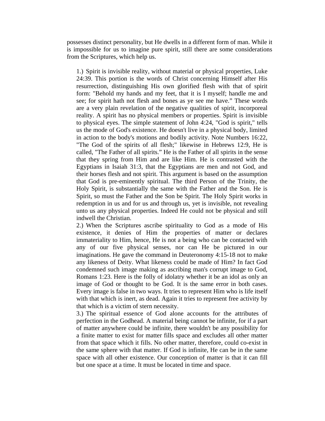possesses distinct personality, but He dwells in a different form of man. While it is impossible for us to imagine pure spirit, still there are some considerations from the Scriptures, which help us.

1.) Spirit is invisible reality, without material or physical properties, Luke 24:39. This portion is the words of Christ concerning Himself after His resurrection, distinguishing His own glorified flesh with that of spirit form: "Behold my hands and my feet, that it is I myself; handle me and see; for spirit hath not flesh and bones as ye see me have." These words are a very plain revelation of the negative qualities of spirit, incorporeal reality. A spirit has no physical members or properties. Spirit is invisible to physical eyes. The simple statement of John 4:24, "God is spirit," tells us the mode of God's existence. He doesn't live in a physical body, limited in action to the body's motions and bodily activity. Note Numbers 16:22, "The God of the spirits of all flesh;" likewise in Hebrews 12:9, He is called, "The Father of all spirits." He is the Father of all spirits in the sense that they spring from Him and are like Him. He is contrasted with the Egyptians in Isaiah 31:3, that the Egyptians are men and not God, and their horses flesh and not spirit. This argument is based on the assumption that God is pre-eminently spiritual. The third Person of the Trinity, the Holy Spirit, is substantially the same with the Father and the Son. He is Spirit, so must the Father and the Son be Spirit. The Holy Spirit works in redemption in us and for us and through us, yet is invisible, not revealing unto us any physical properties. Indeed He could not be physical and still indwell the Christian.

2.) When the Scriptures ascribe spirituality to God as a mode of His existence, it denies of Him the properties of matter or declares immateriality to Him, hence, He is not a being who can be contacted with any of our five physical senses, nor can He be pictured in our imaginations. He gave the command in Deuteronomy 4:15-18 not to make any likeness of Deity. What likeness could be made of Him? In fact God condemned such image making as ascribing man's corrupt image to God, Romans 1:23. Here is the folly of idolatry whether it be an idol as only an image of God or thought to be God. It is the same error in both cases. Every image is false in two ways. It tries to represent Him who is life itself with that which is inert, as dead. Again it tries to represent free activity by that which is a victim of stern necessity.

3.) The spiritual essence of God alone accounts for the attributes of perfection in the Godhead. A material being cannot be infinite, for if a part of matter anywhere could be infinite, there wouldn't be any possibility for a finite matter to exist for matter fills space and excludes all other matter from that space which it fills. No other matter, therefore, could co-exist in the same sphere with that matter. If God is infinite, He can be in the same space with all other existence. Our conception of matter is that it can fill but one space at a time. It must be located in time and space.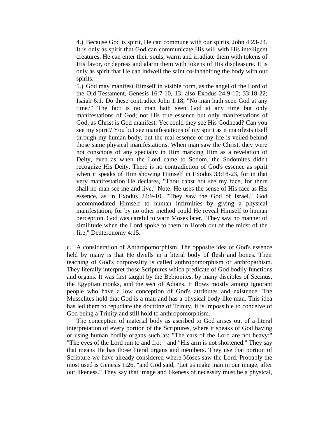4.) Because God is spirit, He can commune with our spirits, John 4:23-24. It is only as spirit that God can communicate His will with His intelligent creatures. He can enter their souls, warm and irradiate them with tokens of His favor, or depress and alarm them with tokens of His displeasure. It is only as spirit that He can indwell the saint co-inhabiting the body with our spirits.

5.) God may manifest Himself in visible form, as the angel of the Lord of the Old Testament, Genesis 16:7-10, 13; also Exodus 24:9-10; 33:18-22; Isaiah 6:1. Do these contradict John 1:18, "No man hath seen God at any time?" The fact is no man hath seen God at any time but only manifestations of God; not His true essence but only manifestations of God, as Christ is God manifest. Yet could they see His Godhead? Can you see my spirit? You but see manifestations of my spirit as it manifests itself through my human body, but the real essence of my life is veiled behind those same physical manifestations. When man saw the Christ, they were not conscious of any specialty in Him marking Him as a revelation of Deity, even as when the Lord came to Sodom, the Sodomites didn't recognize His Deity. There is no contradiction of God's essence as spirit when it speaks of Him showing Himself in Exodus 33:18-23, for in that very manifestation He declares, "Thou canst not see my face, for there shall no man see me and live." Note: He uses the sense of His face as His essence, as in Exodus 24:9-10, "They saw the God of Israel." God accommodated Himself to human infirmities by giving a physical manifestation; for by no other method could He reveal Himself to human perception. God was careful to warn Moses later, "They saw no manner of similitude when the Lord spoke to them in Horeb out of the midst of the fire," Deuteronomy 4:15.

c. A consideration of Anthropomorphism. The opposite idea of God's essence held by many is that He dwells in a literal body of flesh and bones. Their teaching of God's corporeality is called anthropomorphism or anthropathism. They literally interpret those Scriptures which predicate of God bodily functions and organs. It was first taught by the Bebionites, by many disciples of Secinus, the Egyptian monks, and the sect of Adians. It flows mostly among ignorant people who have a low conception of God's attributes and existence. The Musselites hold that God is a man and has a physical body like man. This idea has led them to repudiate the doctrine of Trinity. It is impossible to conceive of God being a Trinity and still hold to anthropomorphism.

 The conception of material body as ascribed to God arises out of a literal interpretation of every portion of the Scriptures, where it speaks of God having or using human bodily organs such as: "The ears of the Lord are not heavy;" "The eyes of the Lord run to and fro;" and "His arm is not shortened." They say that means He has those literal organs and members. They use that portion of Scripture we have already considered where Moses saw the Lord. Probably the most used is Genesis 1:26, "and God said, "Let us make man in our image, after our likeness." They say that image and likeness of necessity must be a physical,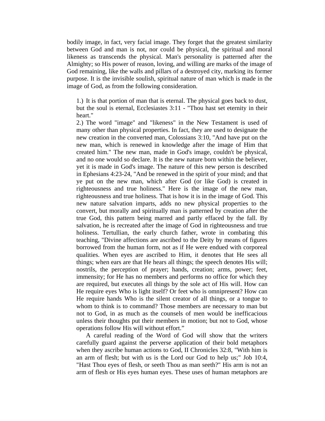bodily image, in fact, very facial image. They forget that the greatest similarity between God and man is not, nor could be physical, the spiritual and moral likeness as transcends the physical. Man's personality is patterned after the Almighty; so His power of reason, loving, and willing are marks of the image of God remaining, like the walls and pillars of a destroyed city, marking its former purpose. It is the invisible soulish, spiritual nature of man which is made in the image of God, as from the following consideration.

1.) It is that portion of man that is eternal. The physical goes back to dust, but the soul is eternal, Ecclesiastes 3:11 - "Thou hast set eternity in their heart."

2.) The word "image" and "likeness" in the New Testament is used of many other than physical properties. In fact, they are used to designate the new creation in the converted man, Colossians 3:10, "And have put on the new man, which is renewed in knowledge after the image of Him that created him." The new man, made in God's image, couldn't be physical, and no one would so declare. It is the new nature born within the believer, yet it is made in God's image. The nature of this new person is described in Ephesians 4:23-24, "And be renewed in the spirit of your mind; and that ye put on the new man, which after God (or like God) is created in righteousness and true holiness." Here is the image of the new man, righteousness and true holiness. That is how it is in the image of God. This new nature salvation imparts, adds no new physical properties to the convert, but morally and spiritually man is patterned by creation after the true God, this pattern being marred and partly effaced by the fall. By salvation, he is recreated after the image of God in righteousness and true holiness. Tertullian, the early church father, wrote in combating this teaching, "Divine affections are ascribed to the Deity by means of figures borrowed from the human form, not as if He were endued with corporeal qualities. When eyes are ascribed to Him, it denotes that He sees all things; when ears are that He hears all things; the speech denotes His will; nostrils, the perception of prayer; hands, creation; arms, power; feet, immensity; for He has no members and performs no office for which they are required, but executes all things by the sole act of His will. How can He require eyes Who is light itself? Or feet who is omnipresent? How can He require hands Who is the silent creator of all things, or a tongue to whom to think is to command? Those members are necessary to man but not to God, in as much as the counsels of men would be inefficacious unless their thoughts put their members in motion; but not to God, whose operations follow His will without effort."

 A careful reading of the Word of God will show that the writers carefully guard against the perverse application of their bold metaphors when they ascribe human actions to God, II Chronicles 32:8, "With him is an arm of flesh; but with us is the Lord our God to help us;" Job 10:4, "Hast Thou eyes of flesh, or seeth Thou as man seeth?" His arm is not an arm of flesh or His eyes human eyes. These uses of human metaphors are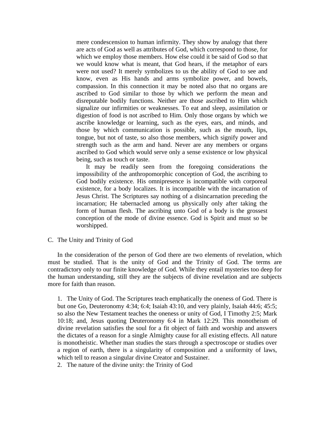mere condescension to human infirmity. They show by analogy that there are acts of God as well as attributes of God, which correspond to those, for which we employ those members. How else could it be said of God so that we would know what is meant, that God hears, if the metaphor of ears were not used? It merely symbolizes to us the ability of God to see and know, even as His hands and arms symbolize power, and bowels, compassion. In this connection it may be noted also that no organs are ascribed to God similar to those by which we perform the mean and disreputable bodily functions. Neither are those ascribed to Him which signalize our infirmities or weaknesses. To eat and sleep, assimilation or digestion of food is not ascribed to Him. Only those organs by which we ascribe knowledge or learning, such as the eyes, ears, and minds, and those by which communication is possible, such as the mouth, lips, tongue, but not of taste, so also those members, which signify power and strength such as the arm and hand. Never are any members or organs ascribed to God which would serve only a sense existence or low physical being, such as touch or taste.

 It may be readily seen from the foregoing considerations the impossibility of the anthropomorphic conception of God, the ascribing to God bodily existence. His omnipresence is incompatible with corporeal existence, for a body localizes. It is incompatible with the incarnation of Jesus Christ. The Scriptures say nothing of a disincarnation preceding the incarnation; He tabernacled among us physically only after taking the form of human flesh. The ascribing unto God of a body is the grossest conception of the mode of divine essence. God is Spirit and must so be worshipped.

C. The Unity and Trinity of God

 In the consideration of the person of God there are two elements of revelation, which must be studied. That is the unity of God and the Trinity of God. The terms are contradictory only to our finite knowledge of God. While they entail mysteries too deep for the human understanding, still they are the subjects of divine revelation and are subjects more for faith than reason.

1. The Unity of God. The Scriptures teach emphatically the oneness of God. There is but one Go, Deuteronomy 4:34; 6:4; Isaiah 43:10, and very plainly, Isaiah 44:6; 45:5; so also the New Testament teaches the oneness or unity of God, I Timothy 2:5; Mark 10:18; and, Jesus quoting Deuteronomy 6:4 in Mark 12:29. This monotheism of divine revelation satisfies the soul for a fit object of faith and worship and answers the dictates of a reason for a single Almighty cause for all existing effects. All nature is monotheistic. Whether man studies the stars through a spectroscope or studies over a region of earth, there is a singularity of composition and a uniformity of laws, which tell to reason a singular divine Creator and Sustainer.

2. The nature of the divine unity: the Trinity of God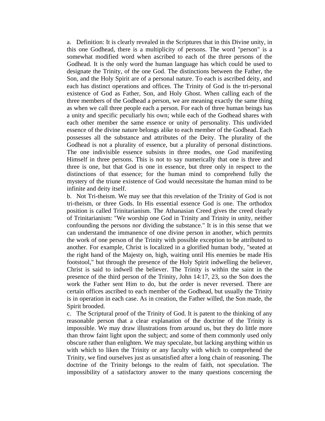a. Definition: It is clearly revealed in the Scriptures that in this Divine unity, in this one Godhead, there is a multiplicity of persons. The word "person" is a somewhat modified word when ascribed to each of the three persons of the Godhead. It is the only word the human language has which could be used to designate the Trinity, of the one God. The distinctions between the Father, the Son, and the Holy Spirit are of a personal nature. To each is ascribed deity, and each has distinct operations and offices. The Trinity of God is the tri-personal existence of God as Father, Son, and Holy Ghost. When calling each of the three members of the Godhead a person, we are meaning exactly the same thing as when we call three people each a person. For each of three human beings has a unity and specific peculiarly his own; while each of the Godhead shares with each other member the same essence or unity of personality. This undivided essence of the divine nature belongs alike to each member of the Godhead. Each possesses all the substance and attributes of the Deity. The plurality of the Godhead is not a plurality of essence, but a plurality of personal distinctions. The one indivisible essence subsists in three modes, one God manifesting Himself in three persons. This is not to say numerically that one is three and three is one, but that God is one in essence, but three only in respect to the distinctions of that essence; for the human mind to comprehend fully the mystery of the triune existence of God would necessitate the human mind to be infinite and deity itself.

b. Not Tri-theism. We may see that this revelation of the Trinity of God is not tri-theism, or three Gods. In His essential essence God is one. The orthodox position is called Trinitarianism. The Athanasian Creed gives the creed clearly of Trinitarianism: "We worship one God in Trinity and Trinity in unity, neither confounding the persons nor dividing the substance." It is in this sense that we can understand the immanence of one divine person in another, which permits the work of one person of the Trinity with possible exception to be attributed to another. For example, Christ is localized in a glorified human body, "seated at the right hand of the Majesty on, high, waiting until His enemies be made His footstool," but through the presence of the Holy Spirit indwelling the believer, Christ is said to indwell the believer. The Trinity is within the saint in the presence of the third person of the Trinity, John 14:17, 23, so the Son does the work the Father sent Him to do, but the order is never reversed. There are certain offices ascribed to each member of the Godhead, but usually the Trinity is in operation in each case. As in creation, the Father willed, the Son made, the Spirit brooded.

c. The Scriptural proof of the Trinity of God. It is patent to the thinking of any reasonable person that a clear explanation of the doctrine of the Trinity is impossible. We may draw illustrations from around us, but they do little more than throw faint light upon the subject; and some of them commonly used only obscure rather than enlighten. We may speculate, but lacking anything within us with which to liken the Trinity or any faculty with which to comprehend the Trinity, we find ourselves just as unsatisfied after a long chain of reasoning. The doctrine of the Trinity belongs to the realm of faith, not speculation. The impossibility of a satisfactory answer to the many questions concerning the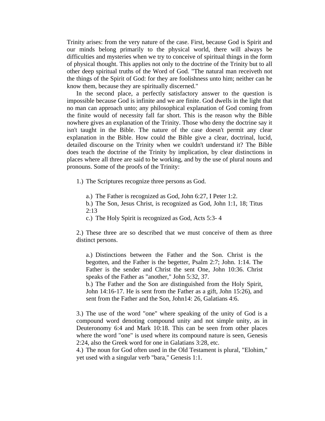Trinity arises: from the very nature of the case. First, because God is Spirit and our minds belong primarily to the physical world, there will always be difficulties and mysteries when we try to conceive of spiritual things in the form of physical thought. This applies not only to the doctrine of the Trinity but to all other deep spiritual truths of the Word of God. "The natural man receiveth not the things of the Spirit of God: for they are foolishness unto him; neither can he know them, because they are spiritually discerned."

 In the second place, a perfectly satisfactory answer to the question is impossible because God is infinite and we are finite. God dwells in the light that no man can approach unto; any philosophical explanation of God coming from the finite would of necessity fall far short. This is the reason why the Bible nowhere gives an explanation of the Trinity. Those who deny the doctrine say it isn't taught in the Bible. The nature of the case doesn't permit any clear explanation in the Bible. How could the Bible give a clear, doctrinal, lucid, detailed discourse on the Trinity when we couldn't understand it? The Bible does teach the doctrine of the Trinity by implication, by clear distinctions in places where all three are said to be working, and by the use of plural nouns and pronouns. Some of the proofs of the Trinity:

1.) The Scriptures recognize three persons as God.

a.) The Father is recognized as God, John 6:27, I Peter 1:2.

b.) The Son, Jesus Christ, is recognized as God, John 1:1, 18; Titus 2:13

c.) The Holy Spirit is recognized as God, Acts 5:3- 4

2.) These three are so described that we must conceive of them as three distinct persons.

a.) Distinctions between the Father and the Son. Christ is the begotten, and the Father is the begetter, Psalm 2:7; John. 1:14. The Father is the sender and Christ the sent One, John 10:36. Christ speaks of the Father as "another," John 5:32, 37.

b.) The Father and the Son are distinguished from the Holy Spirit, John 14:16-17. He is sent from the Father as a gift, John 15:26), and sent from the Father and the Son, John14: 26, Galatians 4:6.

3.) The use of the word "one" where speaking of the unity of God is a compound word denoting compound unity and not simple unity, as in Deuteronomy 6:4 and Mark 10:18. This can be seen from other places where the word "one" is used where its compound nature is seen, Genesis 2:24, also the Greek word for one in Galatians 3:28, etc.

4.) The noun for God often used in the Old Testament is plural, "Elohim," yet used with a singular verb "bara," Genesis 1:1.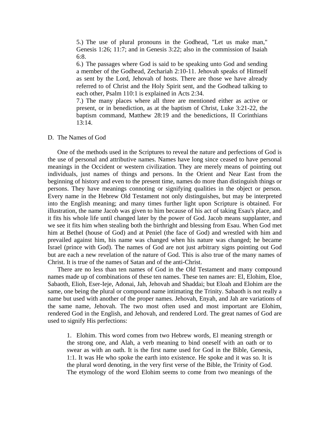5.) The use of plural pronouns in the Godhead, "Let us make man," Genesis 1:26; 11:7; and in Genesis 3:22; also in the commission of Isaiah 6:8.

6.) The passages where God is said to be speaking unto God and sending a member of the Godhead, Zechariah 2:10-11. Jehovah speaks of Himself as sent by the Lord, Jehovah of hosts. There are those we have already referred to of Christ and the Holy Spirit sent, and the Godhead talking to each other, Psalm 110:1 is explained in Acts 2:34.

7.) The many places where all three are mentioned either as active or present, or in benediction, as at the baptism of Christ, Luke 3:21-22, the baptism command, Matthew 28:19 and the benedictions, II Corinthians 13:14.

#### D. The Names of God

 One of the methods used in the Scriptures to reveal the nature and perfections of God is the use of personal and attributive names. Names have long since ceased to have personal meanings in the Occident or western civilization. They are merely means of pointing out individuals, just names of things and persons. In the Orient and Near East from the beginning of history and even to the present time, names do more than distinguish things or persons. They have meanings connoting or signifying qualities in the object or person. Every name in the Hebrew Old Testament not only distinguishes, but may be interpreted into the English meaning; and many times further light upon Scripture is obtained. For illustration, the name Jacob was given to him because of his act of taking Esau's place, and it fits his whole life until changed later by the power of God. Jacob means supplanter, and we see it fits him when stealing both the birthright and blessing from Esau. When God met him at Bethel (house of God) and at Peniel (the face of God) and wrestled with him and prevailed against him, his name was changed when his nature was changed; he became Israel (prince with God). The names of God are not just arbitrary signs pointing out God but are each a new revelation of the nature of God. This is also true of the many names of Christ. It is true of the names of Satan and of the anti-Christ.

 There are no less than ten names of God in the Old Testament and many compound names made up of combinations of these ten names. These ten names are: El, Elohim, Eloe, Sabaoth, Elioh, Eser-Ieje, Adonai, Jah, Jehovah and Shaddai; but Eloah and Elohim are the same, one being the plural or compound name intimating the Trinity. Sabaoth is not really a name but used with another of the proper names. Jehovah, Enyah, and Jah are variations of the same name, Jehovah. The two most often used and most important are Elohim, rendered God in the English, and Jehovah, and rendered Lord. The great names of God are used to signify His perfections:

1. Elohim. This word comes from two Hebrew words, El meaning strength or the strong one, and Alah, a verb meaning to bind oneself with an oath or to swear as with an oath. It is the first name used for God in the Bible, Genesis, 1:1. It was He who spoke the earth into existence. He spoke and it was so. It is the plural word denoting, in the very first verse of the Bible, the Trinity of God. The etymology of the word Elohim seems to come from two meanings of the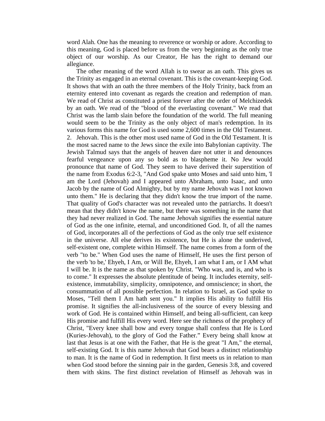word Alah. One has the meaning to reverence or worship or adore. According to this meaning, God is placed before us from the very beginning as the only true object of our worship. As our Creator, He has the right to demand our allegiance.

 The other meaning of the word Allah is to swear as an oath. This gives us the Trinity as engaged in an eternal covenant. This is the covenant-keeping God. It shows that with an oath the three members of the Holy Trinity, back from an eternity entered into covenant as regards the creation and redemption of man. We read of Christ as constituted a priest forever after the order of Melchizedek by an oath. We read of the "blood of the everlasting covenant." We read that Christ was the lamb slain before the foundation of the world. The full meaning would seem to be the Trinity as the only object of man's redemption. In its various forms this name for God is used some 2,600 times in the Old Testament. 2. Jehovah. This is the other most used name of God in the Old Testament. It is the most sacred name to the Jews since the exile into Babylonian captivity. The Jewish Talmud says that the angels of heaven dare not utter it and denounces fearful vengeance upon any so bold as to blaspheme it. No Jew would pronounce that name of God. They seem to have derived their superstition of the name from Exodus 6:2-3, "And God spake unto Moses and said unto him, 'I am the Lord (Jehovah) and I appeared unto Abraham, unto Isaac, and unto Jacob by the name of God Almighty, but by my name Jehovah was I not known unto them." He is declaring that they didn't know the true import of the name. That quality of God's character was not revealed unto the patriarchs. It doesn't mean that they didn't know the name, but there was something in the name that they had never realized in God. The name Jehovah signifies the essential nature of God as the one infinite, eternal, and unconditioned God. It, of all the names of God, incorporates all of the perfections of God as the only true self existence in the universe. All else derives its existence, but He is alone the underived, self-existent one, complete within Himself. The name comes from a form of the verb "to be." When God uses the name of Himself, He uses the first person of the verb 'to be,' Ehyeh, I Am, or Will Be, Ehyeh, I am what I am, or I AM what I will be. It is the name as that spoken by Christ. "Who was, and is, and who is to come." It expresses the absolute plentitude of being. It includes eternity, selfexistence, immutability, simplicity, omnipotence, and omniscience; in short, the consummation of all possible perfection. In relation to Israel, as God spoke to Moses, "Tell them I Am hath sent you." It implies His ability to fulfill His promise. It signifies the all-inclusiveness of the source of every blessing and work of God. He is contained within Himself, and being all-sufficient, can keep His promise and fulfill His every word. Here see the richness of the prophecy of Christ, "Every knee shall bow and every tongue shall confess that He is Lord (Kuries-Jehovah), to the glory of God the Father." Every being shall know at last that Jesus is at one with the Father, that He is the great "I Am," the eternal, self-existing God. It is this name Jehovah that God bears a distinct relationship to man. It is the name of God in redemption. It first meets us in relation to man when God stood before the sinning pair in the garden, Genesis 3:8, and covered them with skins. The first distinct revelation of Himself as Jehovah was in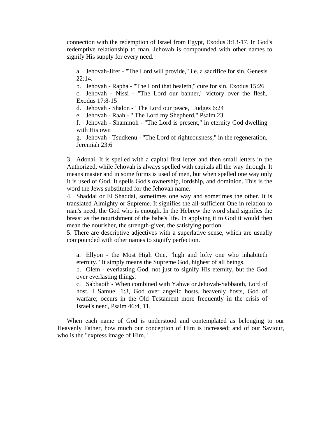connection with the redemption of Israel from Egypt, Exodus 3:13-17. In God's redemptive relationship to man, Jehovah is compounded with other names to signify His supply for every need.

a. Jehovah-Jirer - "The Lord will provide," i.e. a sacrifice for sin, Genesis 22:14.

b. Jehovah - Rapha - "The Lord that healeth," cure for sin, Exodus 15:26

c. Jehovah - Nissi - "The Lord our banner," victory over the flesh, Exodus 17:8-15

d. Jehovah - Shalon - "The Lord our peace," Judges 6:24

e. Jehovah - Raah - " The Lord my Shepherd," Psalm 23

f. Jehovah - Shammoh - "The Lord is present," in eternity God dwelling with His own

g. Jehovah - Tsudkenu - "The Lord of righteousness," in the regeneration, Jeremiah 23:6

3. Adonai. It is spelled with a capital first letter and then small letters in the Authorized, while Jehovah is always spelled with capitals all the way through. It means master and in some forms is used of men, but when spelled one way only it is used of God. It spells God's ownership, lordship, and dominion. This is the word the Jews substituted for the Jehovah name.

4. Shaddai or El Shaddai, sometimes one way and sometimes the other. It is translated Almighty or Supreme. It signifies the all-sufficient One in relation to man's need, the God who is enough. In the Hebrew the word shad signifies the breast as the nourishment of the babe's life. In applying it to God it would then mean the nourisher, the strength-giver, the satisfying portion.

5. There are descriptive adjectives with a superlative sense, which are usually compounded with other names to signify perfection.

a. Ellyon - the Most High One, "high and lofty one who inhabiteth eternity." It simply means the Supreme God, highest of all beings.

b. Olem - everlasting God, not just to signify His eternity, but the God over everlasting things.

c. Sabbaoth - When combined with Yahwe or Jehovah-Sabbaoth, Lord of host, I Samuel 1:3, God over angelic hosts, heavenly hosts, God of warfare; occurs in the Old Testament more frequently in the crisis of Israel's need, Psalm 46:4, 11.

 When each name of God is understood and contemplated as belonging to our Heavenly Father, how much our conception of Him is increased; and of our Saviour, who is the "express image of Him."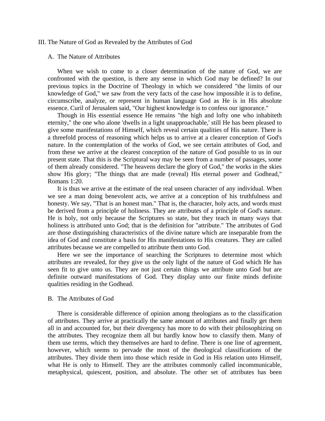#### III. The Nature of God as Revealed by the Attributes of God

#### A. The Nature of Attributes

 When we wish to come to a closer determination of the nature of God, we are confronted with the question, is there any sense in which God may be defined? In our previous topics in the Doctrine of Theology in which we considered "the limits of our knowledge of God," we saw from the very facts of the case how impossible it is to define, circumscribe, analyze, or represent in human language God as He is in His absolute essence. Curil of Jerusalem said, "Our highest knowledge is to confess our ignorance."

 Though in His essential essence He remains "the high and lofty one who inhabiteth eternity," the one who alone 'dwells in a light unapproachable,' still He has been pleased to give some manifestations of Himself, which reveal certain qualities of His nature. There is a threefold process of reasoning which helps us to arrive at a clearer conception of God's nature. In the contemplation of the works of God, we see certain attributes of God, and from these we arrive at the clearest conception of the nature of God possible to us in our present state. That this is the Scriptural way may be seen from a number of passages, some of them already considered. "The heavens declare the glory of God," the works in the skies show His glory; "The things that are made (reveal) His eternal power and Godhead," Romans 1:20.

 It is thus we arrive at the estimate of the real unseen character of any individual. When we see a man doing benevolent acts, we arrive at a conception of his truthfulness and honesty. We say, "That is an honest man." That is, the character, holy acts, and words must be derived from a principle of holiness. They are attributes of a principle of God's nature. He is holy, not only because the Scriptures so state, but they teach in many ways that holiness is attributed unto God; that is the definition for "attribute." The attributes of God are those distinguishing characteristics of the divine nature which are inseparable from the idea of God and constitute a basis for His manifestations to His creatures. They are called attributes because we are compelled to attribute them unto God.

 Here we see the importance of searching the Scriptures to determine most which attributes are revealed, for they give us the only light of the nature of God which He has seen fit to give unto us. They are not just certain things we attribute unto God but are definite outward manifestations of God. They display unto our finite minds definite qualities residing in the Godhead.

#### B. The Attributes of God

 There is considerable difference of opinion among theologians as to the classification of attributes. They arrive at practically the same amount of attributes and finally get them all in and accounted for, but their divergency has more to do with their philosophizing on the attributes. They recognize them all but hardly know how to classify them. Many of them use terms, which they themselves are hard to define. There is one line of agreement, however, which seems to pervade the most of the theological classifications of the attributes. They divide them into those which reside in God in His relation unto Himself, what He is only to Himself. They are the attributes commonly called incommunicable, metaphysical, quiescent, position, and absolute. The other set of attributes has been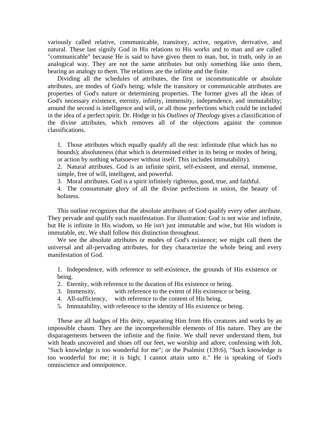variously called relative, communicable, transitory, active, negative, derivative, and natural. These last signify God in His relations to His works and to man and are called "communicable" because He is said to have given them to man, but, in truth, only in an analogical way. They are not the same attributes but only something like unto them, bearing an analogy to them. The relations are the infinite and the finite.

 Dividing all the schedules of attributes, the first or incommunicable or absolute attributes, are modes of God's being; while the transitory or communicable attributes are properties of God's nature or determining properties. The former gives all the ideas of God's necessary existence, eternity, infinity, immensity, independence, and immutability; around the second is intelligence and will, or all those perfections which could be included in the idea of a perfect spirit. Dr. Hodge in his *Outlines of Theology* gives a classification of the divine attributes, which removes all of the objections against the common classifications.

1. Those attributes which equally qualify all the rest: infinitude (that which has no bounds); absoluteness (that which is determined either in its being or modes of being, or action by nothing whatsoever without itself. This includes immutability).

2. Natural attributes. God is an infinite spirit, self-existent, and eternal, immense, simple, free of will, intelligent, and powerful.

3. Moral attributes. God is a spirit infinitely righteous, good, true, and faithful.

4. The consummate glory of all the divine perfections in union, the beauty of holiness.

 This outline recognizes that the absolute attributes of God qualify every other attribute. They pervade and qualify each manifestation. For illustration: God is not wise and infinite, but He is infinite in His wisdom, so He isn't just immutable and wise, but His wisdom is immutable, etc. We shall follow this distinction throughout.

 We see the absolute attributes or modes of God's existence; we might call them the universal and all-pervading attributes, for they characterize the whole being and every manifestation of God.

1. Independence, with reference to self-existence, the grounds of His existence or being.

- 2. Eternity, with reference to the duration of His existence or being.
- 3. Immensity, with reference to the extent of His existence or being.
- 4. All-sufficiency, with reference to the content of His being.
- 5. Immutability, with reference to the identity of His existence or being.

 These are all badges of His deity, separating Him from His creatures and works by an impossible chasm. They are the incomprehensible elements of His nature. They are the disparagements between the infinite and the finite. We shall never understand them, but with heads uncovered and shoes off our feet, we worship and adore, confessing with Job, "Such knowledge is too wonderful for me"; or the Psalmist (139:6), "Such knowledge is too wonderful for me; it is high; I cannot attain unto it." He is speaking of God's omniscience and omnipotence.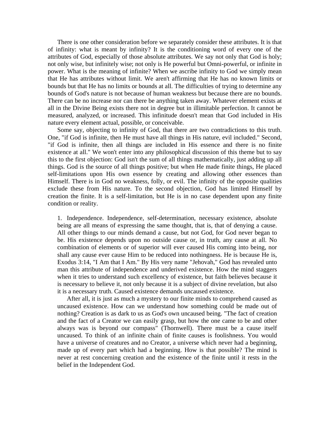There is one other consideration before we separately consider these attributes. It is that of infinity: what is meant by infinity? It is the conditioning word of every one of the attributes of God, especially of those absolute attributes. We say not only that God is holy; not only wise, but infinitely wise; not only is He powerful but Omni-powerful, or infinite in power. What is the meaning of infinite? When we ascribe infinity to God we simply mean that He has attributes without limit. We aren't affirming that He has no known limits or bounds but that He has no limits or bounds at all. The difficulties of trying to determine any bounds of God's nature is not because of human weakness but because there are no bounds. There can be no increase nor can there be anything taken away. Whatever element exists at all in the Divine Being exists there not in degree but in illimitable perfection. It cannot be measured, analyzed, or increased. This infinitude doesn't mean that God included in His nature every element actual, possible, or conceivable.

 Some say, objecting to infinity of God, that there are two contradictions to this truth. One, "if God is infinite, then He must have all things in His nature, evil included." Second, "if God is infinite, then all things are included in His essence and there is no finite existence at all." We won't enter into any philosophical discussion of this theme but to say this to the first objection: God isn't the sum of all things mathematically, just adding up all things. God is the source of all things positive; but when He made finite things, He placed self-limitations upon His own essence by creating and allowing other essences than Himself. There is in God no weakness, folly, or evil. The infinity of the opposite qualities exclude these from His nature. To the second objection, God has limited Himself by creation the finite. It is a self-limitation, but He is in no case dependent upon any finite condition or reality.

1. Independence. Independence, self-determination, necessary existence, absolute being are all means of expressing the same thought, that is, that of denying a cause. All other things to our minds demand a cause, but not God, for God never began to be. His existence depends upon no outside cause or, in truth, any cause at all. No combination of elements or of superior will ever caused His coming into being, nor shall any cause ever cause Him to be reduced into nothingness. He is because He is, Exodus 3:14, "I Am that I Am." By His very name "Jehovah," God has revealed unto man this attribute of independence and underived existence. How the mind staggers when it tries to understand such excellency of existence, but faith believes because it is necessary to believe it, not only because it is a subject of divine revelation, but also it is a necessary truth. Caused existence demands uncaused existence.

 After all, it is just as much a mystery to our finite minds to comprehend caused as uncaused existence. How can we understand how something could be made out of nothing? Creation is as dark to us as God's own uncaused being. "The fact of creation and the fact of a Creator we can easily grasp, but how the one came to be and other always was is beyond our compass" (Thornwell). There must be a cause itself uncaused. To think of an infinite chain of finite causes is foolishness. You would have a universe of creatures and no Creator, a universe which never had a beginning, made up of every part which had a beginning. How is that possible? The mind is never at rest concerning creation and the existence of the finite until it rests in the belief in the Independent God.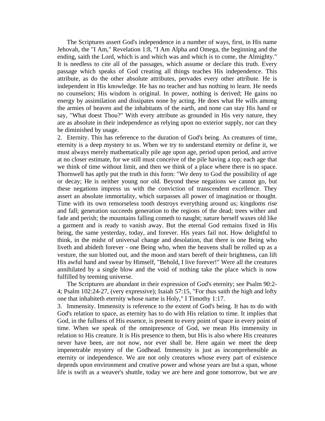The Scriptures assert God's independence in a number of ways, first, in His name Jehovah, the "I Am," Revelation 1:8, "I Am Alpha and Omega, the beginning and the ending, saith the Lord, which is and which was and which is to come, the Almighty." It is needless to cite all of the passages, which assume or declare this truth. Every passage which speaks of God creating all things teaches His independence. This attribute, as do the other absolute attributes, pervades every other attribute. He is independent in His knowledge. He has no teacher and has nothing to learn. He needs no counselors; His wisdom is original. In power, nothing is derived; He gains no energy by assimilation and dissipates none by acting. He does what He wills among the armies of heaven and the inhabitants of the earth, and none can stay His hand or say, "What doest Thou?" With every attribute as grounded in His very nature, they are as absolute in their independence as relying upon no exterior supply, nor can they be diminished by usage.

2. Eternity. This has reference to the duration of God's being. As creatures of time, eternity is a deep mystery to us. When we try to understand eternity or define it, we must always merely mathematically pile age upon age, period upon period, and arrive at no closer estimate, for we still must conceive of the pile having a top; each age that we think of time without limit, and then we think of a place where there is no space. Thornwell has aptly put the truth in this form: "We deny to God the possibility of age or decay; He is neither young nor old. Beyond these negations we cannot go, but these negations impress us with the conviction of transcendent excellence. They assert an absolute immortality, which surpasses all power of imagination or thought. Time with its own remorseless tooth destroys everything around us; kingdoms rise and fall; generation succeeds generation to the regions of the dead; trees wither and fade and perish; the mountains falling cometh to naught; nature herself waxes old like a garment and is ready to vanish away. But the eternal God remains fixed in His being, the same yesterday, today, and forever. His years fail not. How delightful to think, in the midst of universal change and desolation, that there is one Being who liveth and abideth forever - one Being who, when the heavens shall be rolled up as a vesture, the sun blotted out, and the moon and stars bereft of their brightness, can lift His awful hand and swear by Himself, "Behold, I live forever!" Were all the creatures annihilated by a single blow and the void of nothing take the place which is now fulfilled by teeming universe.

 The Scriptures are abundant in their expression of God's eternity; see Psalm 90:2- 4; Psalm 102:24-27, (very expressive); Isaiah 57:15, "For thus saith the high and lofty one that inhabiteth eternity whose name is Holy," I Timothy 1:17.

3. Immensity. Immensity is reference to the extent of God's being. It has to do with God's relation to space, as eternity has to do with His relation to time. It implies that God, in the fullness of His essence, is present to every point of space in every point of time. When we speak of the omnipresence of God, we mean His immensity in relation to His creature. It is His presence to them, but His is also where His creatures never have been, are not now, nor ever shall be. Here again we meet the deep impenetrable mystery of the Godhead. Immensity is just as incomprehensible as eternity or independence. We are not only creatures whose every part of existence depends upon environment and creative power and whose years are but a span, whose life is swift as a weaver's shuttle, today we are here and gone tomorrow, but we are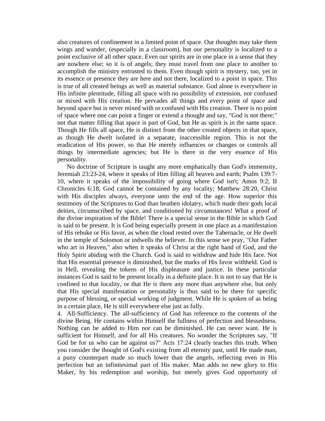also creatures of confinement in a limited point of space. Our thoughts may take them wings and wander, (especially in a classroom), but our personality is localized to a point exclusive of all other space. Even our spirits are in one place in a sense that they are nowhere else; so it is of angels; they must travel from one place to another to accomplish the ministry entrusted to them. Even though spirit is mystery, too, yet in its essence or presence they are here and not there, localized to a point in space. This is true of all created beings as well as material substance. God alone is everywhere in His infinite plentitude, filling all space with no possibility of extension, nor confused or mixed with His creation. He pervades all things and every point of space and beyond space but is never mixed with or confused with His creation. There is no point of space where one can point a finger or extend a thought and say, "God is not there;" not that matter filling that space is part of God, but He as spirit is in the same space. Though He fills all space, He is distinct from the other created objects in that space, as though He dwelt isolated in a separate, inaccessible region. This is not the eradication of His power, so that He merely influences or changes or controls all things by intermediate agencies; but He is there in the very essence of His personality.

 No doctrine of Scripture is taught any more emphatically than God's immensity, Jeremiah 23:23-24, where it speaks of Him filling all heaven and earth; Psalm 139:7- 10, where it speaks of the impossibility of going where God isn't; Amos 9:2; II Chronicles 6:18, God cannot be contained by any locality; Matthew 28:20, Christ with His disciples always, everyone unto the end of the age. How superior this testimony of the Scriptures to God than heathen idolatry, which made their gods local deities, circumscribed by space, and conditioned by circumstances! What a proof of the divine inspiration of the Bible! There is a special sense in the Bible in which God is said to be present. It is God being especially present in one place as a manifestation of His rebuke or His favor, as when the cloud rested over the Tabernacle, or He dwelt in the temple of Solomon or indwells the believer. In this sense we pray, "Our Father who art in Heaven," also when it speaks of Christ at the right hand of God, and the Holy Spirit abiding with the Church. God is said to withdraw and hide His face. Not that His essential presence is diminished, but the marks of His favor withheld. God is in Hell, revealing the tokens of His displeasure and justice. In these particular instances God is said to be present locally in a definite place. It is not to say that He is confined to that locality, or that He is there any more than anywhere else, but only that His special manifestation or personality is thus said to be there for specific purpose of blessing, or special working of judgment. While He is spoken of as being in a certain place, He is still everywhere else just as fully.

4. All-Sufficiency. The all-sufficiency of God has reference to the contents of the divine Being. He contains within Himself the fullness of perfection and blessedness. Nothing can be added to Him nor can be diminished. He can never want. He is sufficient for Himself, and for all His creatures. No wonder the Scriptures say, "If God be for us who can be against us?" Acts 17:24 clearly teaches this truth. When you consider the thought of God's existing from all eternity past, until He made man, a puny counterpart made so much lower than the angels, reflecting even in His perfection but an infinitesimal part of His maker. Man adds no new glory to His Maker, by his redemption and worship, but merely gives God opportunity of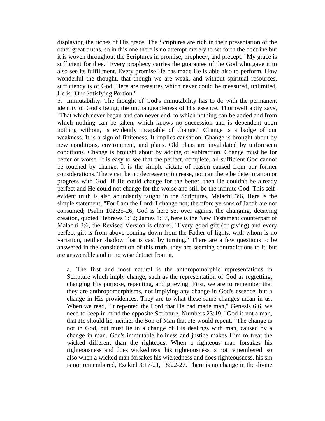displaying the riches of His grace. The Scriptures are rich in their presentation of the other great truths, so in this one there is no attempt merely to set forth the doctrine but it is woven throughout the Scriptures in promise, prophecy, and precept. "My grace is sufficient for thee." Every prophecy carries the guarantee of the God who gave it to also see its fulfillment. Every promise He has made He is able also to perform. How wonderful the thought, that though we are weak, and without spiritual resources, sufficiency is of God. Here are treasures which never could be measured, unlimited. He is "Our Satisfying Portion."

5. Immutability. The thought of God's immutability has to do with the permanent identity of God's being, the unchangeableness of His essence. Thornwell aptly says, "That which never began and can never end, to which nothing can be added and from which nothing can be taken, which knows no succession and is dependent upon nothing without, is evidently incapable of change." Change is a badge of our weakness. It is a sign of finiteness. It implies causation. Change is brought about by new conditions, environment, and plans. Old plans are invalidated by unforeseen conditions. Change is brought about by adding or subtraction. Change must be for better or worse. It is easy to see that the perfect, complete, all-sufficient God cannot be touched by change. It is the simple dictate of reason caused from our former considerations. There can be no decrease or increase, not can there be deterioration or progress with God. If He could change for the better, then He couldn't be already perfect and He could not change for the worse and still be the infinite God. This selfevident truth is also abundantly taught in the Scriptures, Malachi 3:6, Here is the simple statement, "For I am the Lord: I change not; therefore ye sons of Jacob are not consumed; Psalm 102:25-26, God is here set over against the changing, decaying creation, quoted Hebrews 1:12; James 1:17, here is the New Testament counterpart of Malachi 3:6, the Revised Version is clearer, "Every good gift (or giving) and every perfect gift is from above coming down from the Father of lights, with whom is no variation, neither shadow that is cast by turning." There are a few questions to be answered in the consideration of this truth, they are seeming contradictions to it, but are answerable and in no wise detract from it.

a. The first and most natural is the anthropomorphic representations in Scripture which imply change, such as the representation of God as regretting, changing His purpose, repenting, and grieving. First, we are to remember that they are anthropomorphisms, not implying any change in God's essence, but a change in His providences. They are to what these same changes mean in us. When we read, "It repented the Lord that He had made man," Genesis 6:6, we need to keep in mind the opposite Scripture, Numbers 23:19, "God is not a man, that He should lie, neither the Son of Man that He would repent." The change is not in God, but must lie in a change of His dealings with man, caused by a change in man. God's immutable holiness and justice makes Him to treat the wicked different than the righteous. When a righteous man forsakes his righteousness and does wickedness, his righteousness is not remembered, so also when a wicked man forsakes his wickedness and does righteousness, his sin is not remembered, Ezekiel 3:17-21, 18:22-27. There is no change in the divine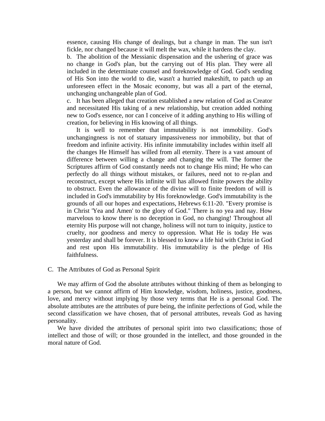essence, causing His change of dealings, but a change in man. The sun isn't fickle, nor changed because it will melt the wax, while it hardens the clay.

b. The abolition of the Messianic dispensation and the ushering of grace was no change in God's plan, but the carrying out of His plan. They were all included in the determinate counsel and foreknowledge of God. God's sending of His Son into the world to die, wasn't a hurried makeshift, to patch up an unforeseen effect in the Mosaic economy, but was all a part of the eternal, unchanging unchangeable plan of God.

c. It has been alleged that creation established a new relation of God as Creator and necessitated His taking of a new relationship, but creation added nothing new to God's essence, nor can I conceive of it adding anything to His willing of creation, for believing in His knowing of all things.

 It is well to remember that immutability is not immobility. God's unchangingness is not of statuary impassiveness nor immobility, but that of freedom and infinite activity. His infinite immutability includes within itself all the changes He Himself has willed from all eternity. There is a vast amount of difference between willing a change and changing the will. The former the Scriptures affirm of God constantly needs not to change His mind; He who can perfectly do all things without mistakes, or failures, need not to re-plan and reconstruct, except where His infinite will has allowed finite powers the ability to obstruct. Even the allowance of the divine will to finite freedom of will is included in God's immutability by His foreknowledge. God's immutability is the grounds of all our hopes and expectations, Hebrews 6:11-20. "Every promise is in Christ 'Yea and Amen' to the glory of God." There is no yea and nay. How marvelous to know there is no deception in God, no changing! Throughout all eternity His purpose will not change, holiness will not turn to iniquity, justice to cruelty, nor goodness and mercy to oppression. What He is today He was yesterday and shall be forever. It is blessed to know a life hid with Christ in God and rest upon His immutability. His immutability is the pledge of His faithfulness.

#### C. The Attributes of God as Personal Spirit

 We may affirm of God the absolute attributes without thinking of them as belonging to a person, but we cannot affirm of Him knowledge, wisdom, holiness, justice, goodness, love, and mercy without implying by those very terms that He is a personal God. The absolute attributes are the attributes of pure being, the infinite perfections of God, while the second classification we have chosen, that of personal attributes, reveals God as having personality.

 We have divided the attributes of personal spirit into two classifications; those of intellect and those of will; or those grounded in the intellect, and those grounded in the moral nature of God.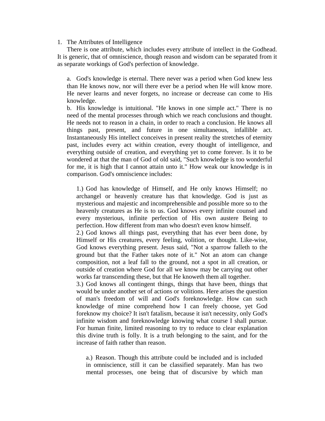#### 1. The Attributes of Intelligence

 There is one attribute, which includes every attribute of intellect in the Godhead. It is generic, that of omniscience, though reason and wisdom can be separated from it as separate workings of God's perfection of knowledge.

a. God's knowledge is eternal. There never was a period when God knew less than He knows now, nor will there ever be a period when He will know more. He never learns and never forgets, no increase or decrease can come to His knowledge.

b. His knowledge is intuitional. "He knows in one simple act." There is no need of the mental processes through which we reach conclusions and thought. He needs not to reason in a chain, in order to reach a conclusion. He knows all things past, present, and future in one simultaneous, infallible act. Instantaneously His intellect conceives in present reality the stretches of eternity past, includes every act within creation, every thought of intelligence, and everything outside of creation, and everything yet to come forever. Is it to be wondered at that the man of God of old said, "Such knowledge is too wonderful for me, it is high that I cannot attain unto it." How weak our knowledge is in comparison. God's omniscience includes:

1.) God has knowledge of Himself, and He only knows Himself; no archangel or heavenly creature has that knowledge. God is just as mysterious and majestic and incomprehensible and possible more so to the heavenly creatures as He is to us. God knows every infinite counsel and every mysterious, infinite perfection of His own austere Being to perfection. How different from man who doesn't even know himself.

2.) God knows all things past, everything that has ever been done, by Himself or His creatures, every feeling, volition, or thought. Like-wise, God knows everything present. Jesus said, "Not a sparrow falleth to the ground but that the Father takes note of it." Not an atom can change composition, not a leaf fall to the ground, not a spot in all creation, or outside of creation where God for all we know may be carrying out other works far transcending these, but that He knoweth them all together.

3.) God knows all contingent things, things that have been, things that would be under another set of actions or volitions. Here arises the question of man's freedom of will and God's foreknowledge. How can such knowledge of mine comprehend how I can freely choose, yet God foreknow my choice? It isn't fatalism, because it isn't necessity, only God's infinite wisdom and foreknowledge knowing what course I shall pursue. For human finite, limited reasoning to try to reduce to clear explanation this divine truth is folly. It is a truth belonging to the saint, and for the increase of faith rather than reason.

a.) Reason. Though this attribute could be included and is included in omniscience, still it can be classified separately. Man has two mental processes, one being that of discursive by which man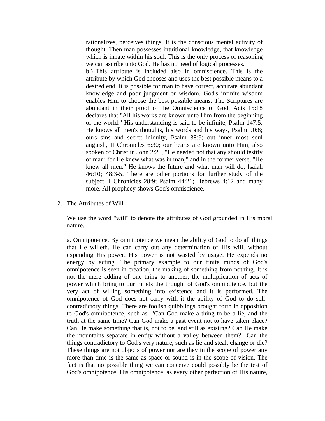rationalizes, perceives things. It is the conscious mental activity of thought. Then man possesses intuitional knowledge, that knowledge which is innate within his soul. This is the only process of reasoning we can ascribe unto God. He has no need of logical processes.

b.) This attribute is included also in omniscience. This is the attribute by which God chooses and uses the best possible means to a desired end. It is possible for man to have correct, accurate abundant knowledge and poor judgment or wisdom. God's infinite wisdom enables Him to choose the best possible means. The Scriptures are abundant in their proof of the Omniscience of God, Acts 15:18 declares that "All his works are known unto Him from the beginning of the world." His understanding is said to be infinite, Psalm 147:5; He knows all men's thoughts, his words and his ways, Psalm 90:8; ours sins and secret iniquity, Psalm 38:9; out inner most soul anguish, II Chronicles 6:30; our hearts are known unto Him, also spoken of Christ in John 2:25, "He needed not that any should testify of man: for He knew what was in man;" and in the former verse, "He knew all men." He knows the future and what man will do, Isaiah 46:10; 48:3-5. There are other portions for further study of the subject: I Chronicles 28:9; Psalm 44:21; Hebrews 4:12 and many more. All prophecy shows God's omniscience.

2. The Attributes of Will

We use the word "will" to denote the attributes of God grounded in His moral nature.

a. Omnipotence. By omnipotence we mean the ability of God to do all things that He willeth. He can carry out any determination of His will, without expending His power. His power is not wasted by usage. He expends no energy by acting. The primary example to our finite minds of God's omnipotence is seen in creation, the making of something from nothing. It is not the mere adding of one thing to another, the multiplication of acts of power which bring to our minds the thought of God's omnipotence, but the very act of willing something into existence and it is performed. The omnipotence of God does not carry with it the ability of God to do selfcontradictory things. There are foolish quibblings brought forth in opposition to God's omnipotence, such as: "Can God make a thing to be a lie, and the truth at the same time? Can God make a past event not to have taken place? Can He make something that is, not to be, and still as existing? Can He make the mountains separate in entity without a valley between them?" Can the things contradictory to God's very nature, such as lie and steal, change or die? These things are not objects of power nor are they in the scope of power any more than time is the same as space or sound is in the scope of vision. The fact is that no possible thing we can conceive could possibly be the test of God's omnipotence. His omnipotence, as every other perfection of His nature,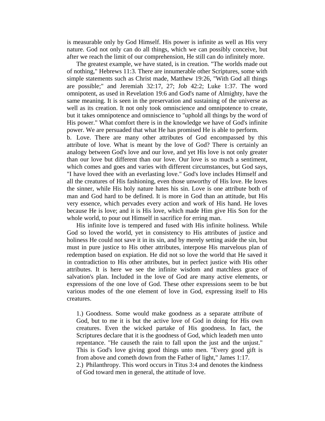is measurable only by God Himself. His power is infinite as well as His very nature. God not only can do all things, which we can possibly conceive, but after we reach the limit of our comprehension, He still can do infinitely more.

 The greatest example, we have stated, is in creation. "The worlds made out of nothing," Hebrews 11:3. There are innumerable other Scriptures, some with simple statements such as Christ made, Matthew 19:26, "With God all things are possible;" and Jeremiah 32:17, 27; Job 42:2; Luke 1:37. The word omnipotent, as used in Revelation 19:6 and God's name of Almighty, have the same meaning. It is seen in the preservation and sustaining of the universe as well as its creation. It not only took omniscience and omnipotence to create, but it takes omnipotence and omniscience to "uphold all things by the word of His power." What comfort there is in the knowledge we have of God's infinite power. We are persuaded that what He has promised He is able to perform.

b. Love. There are many other attributes of God encompassed by this attribute of love. What is meant by the love of God? There is certainly an analogy between God's love and our love, and yet His love is not only greater than our love but different than our love. Our love is so much a sentiment, which comes and goes and varies with different circumstances, but God says, "I have loved thee with an everlasting love." God's love includes Himself and all the creatures of His fashioning, even those unworthy of His love. He loves the sinner, while His holy nature hates his sin. Love is one attribute both of man and God hard to be defined. It is more in God than an attitude, but His very essence, which pervades every action and work of His hand. He loves because He is love; and it is His love, which made Him give His Son for the whole world, to pour out Himself in sacrifice for erring man.

 His infinite love is tempered and fused with His infinite holiness. While God so loved the world, yet in consistency to His attributes of justice and holiness He could not save it in its sin, and by merely setting aside the sin, but must in pure justice to His other attributes, interpose His marvelous plan of redemption based on expiation. He did not so love the world that He saved it in contradiction to His other attributes, but in perfect justice with His other attributes. It is here we see the infinite wisdom and matchless grace of salvation's plan. Included in the love of God are many active elements, or expressions of the one love of God. These other expressions seem to be but various modes of the one element of love in God, expressing itself to His creatures.

1.) Goodness. Some would make goodness as a separate attribute of God, but to me it is but the active love of God in doing for His own creatures. Even the wicked partake of His goodness. In fact, the Scriptures declare that it is the goodness of God, which leadeth men unto repentance. "He causeth the rain to fall upon the just and the unjust." This is God's love giving good things unto men. "Every good gift is from above and cometh down from the Father of light," James 1:17. 2.) Philanthropy. This word occurs in Titus 3:4 and denotes the kindness of God toward men in general, the attitude of love.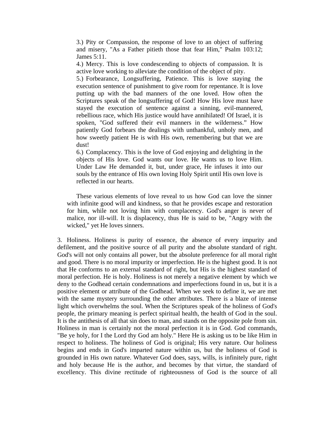3.) Pity or Compassion, the response of love to an object of suffering and misery, "As a Father pitieth those that fear Him," Psalm 103:12; James 5:11.

4.) Mercy. This is love condescending to objects of compassion. It is active love working to alleviate the condition of the object of pity.

5.) Forbearance, Longsuffering, Patience. This is love staying the execution sentence of punishment to give room for repentance. It is love putting up with the bad manners of the one loved. How often the Scriptures speak of the longsuffering of God! How His love must have stayed the execution of sentence against a sinning, evil-mannered, rebellious race, which His justice would have annihilated! Of Israel, it is spoken, "God suffered their evil manners in the wilderness." How patiently God forbears the dealings with unthankful, unholy men, and how sweetly patient He is with His own, remembering but that we are dust!

6.) Complacency. This is the love of God enjoying and delighting in the objects of His love. God wants our love. He wants us to love Him. Under Law He demanded it, but, under grace, He infuses it into our souls by the entrance of His own loving Holy Spirit until His own love is reflected in our hearts.

 These various elements of love reveal to us how God can love the sinner with infinite good will and kindness, so that he provides escape and restoration for him, while not loving him with complacency. God's anger is never of malice, nor ill-will. It is displacency, thus He is said to be, "Angry with the wicked," yet He loves sinners.

3. Holiness. Holiness is purity of essence, the absence of every impurity and defilement, and the positive source of all purity and the absolute standard of right. God's will not only contains all power, but the absolute preference for all moral right and good. There is no moral impurity or imperfection. He is the highest good. It is not that He conforms to an external standard of right, but His is the highest standard of moral perfection. He is holy. Holiness is not merely a negative element by which we deny to the Godhead certain condemnations and imperfections found in us, but it is a positive element or attribute of the Godhead. When we seek to define it, we are met with the same mystery surrounding the other attributes. There is a blaze of intense light which overwhelms the soul. When the Scriptures speak of the holiness of God's people, the primary meaning is perfect spiritual health, the health of God in the soul. It is the antithesis of all that sin does to man, and stands on the opposite pole from sin. Holiness in man is certainly not the moral perfection it is in God. God commands, "Be ye holy, for I the Lord thy God am holy." Here He is asking us to be like Him in respect to holiness. The holiness of God is original; His very nature. Our holiness begins and ends in God's imparted nature within us, but the holiness of God is grounded in His own nature. Whatever God does, says, wills, is infinitely pure, right and holy because He is the author, and becomes by that virtue, the standard of excellency. This divine rectitude of righteousness of God is the source of all